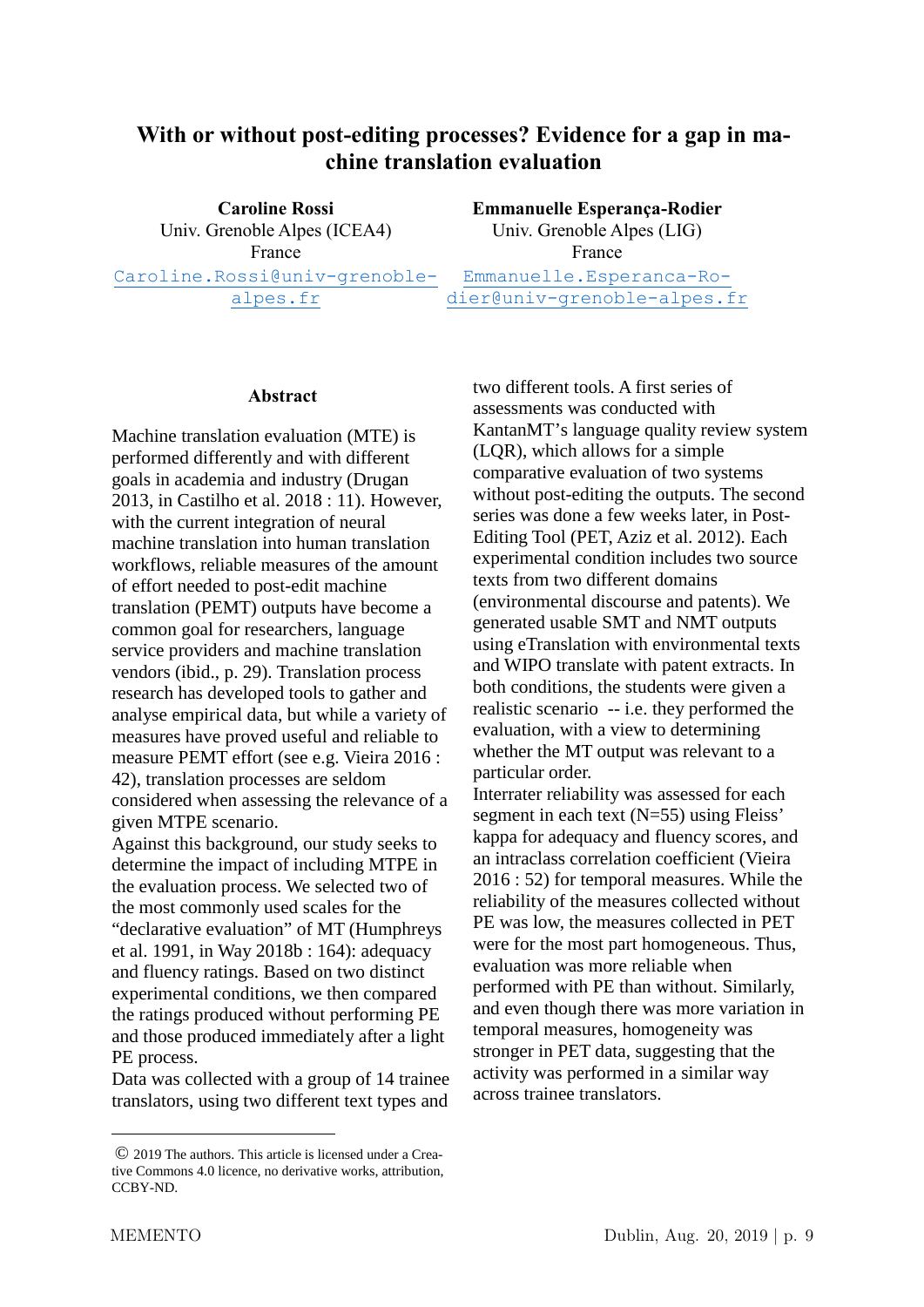## **With or without post-editing processes? Evidence for a gap in machine translation evaluation**

**Caroline Rossi** Univ. Grenoble Alpes (ICEA4) France Caroline.Rossi@univ-grenoblealpes.fr

**Emmanuelle Esperança-Rodier** Univ. Grenoble Alpes (LIG) France Emmanuelle.Esperanca-Rodier@univ-grenoble-alpes.fr

## **Abstract**

Machine translation evaluation (MTE) is performed differently and with different goals in academia and industry (Drugan 2013, in Castilho et al. 2018 : 11). However, with the current integration of neural machine translation into human translation workflows, reliable measures of the amount of effort needed to post-edit machine translation (PEMT) outputs have become a common goal for researchers, language service providers and machine translation vendors (ibid., p. 29). Translation process research has developed tools to gather and analyse empirical data, but while a variety of measures have proved useful and reliable to measure PEMT effort (see e.g. Vieira 2016 : 42), translation processes are seldom considered when assessing the relevance of a given MTPE scenario.

Against this background, our study seeks to determine the impact of including MTPE in the evaluation process. We selected two of the most commonly used scales for the "declarative evaluation" of MT (Humphreys et al. 1991, in Way 2018b : 164): adequacy and fluency ratings. Based on two distinct experimental conditions, we then compared the ratings produced without performing PE and those produced immediately after a light PE process.

Data was collected with a group of 14 trainee translators, using two different text types and two different tools. A first series of assessments was conducted with KantanMT's language quality review system (LQR), which allows for a simple comparative evaluation of two systems without post-editing the outputs. The second series was done a few weeks later, in Post-Editing Tool (PET, Aziz et al. 2012). Each experimental condition includes two source texts from two different domains (environmental discourse and patents). We generated usable SMT and NMT outputs using eTranslation with environmental texts and WIPO translate with patent extracts. In both conditions, the students were given a realistic scenario -- i.e. they performed the evaluation, with a view to determining whether the MT output was relevant to a particular order.

Interrater reliability was assessed for each segment in each text (N=55) using Fleiss' kappa for adequacy and fluency scores, and an intraclass correlation coefficient (Vieira 2016 : 52) for temporal measures. While the reliability of the measures collected without PE was low, the measures collected in PET were for the most part homogeneous. Thus, evaluation was more reliable when performed with PE than without. Similarly, and even though there was more variation in temporal measures, homogeneity was stronger in PET data, suggesting that the activity was performed in a similar way across trainee translators.

<u>.</u>

<sup>©</sup> 2019 The authors. This article is licensed under a Creative Commons 4.0 licence, no derivative works, attribution, CCBY-ND.